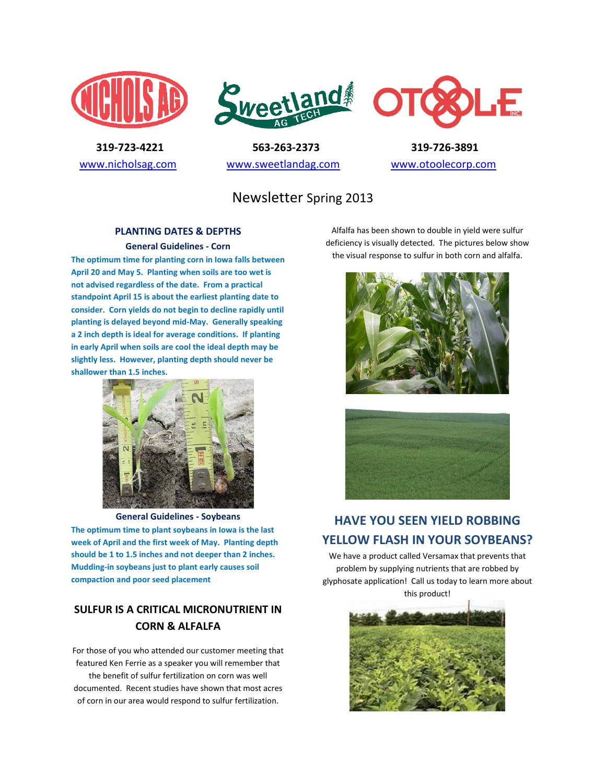





 **319-723-4221 563-263-2373 319-726-3891**  [www.nicholsag.com](http://www.nicholsag.com/) [www.sweetlandag.com](http://www.sweetlandag.com/) [www.otoolecorp.com](http://www.otoolecorp.com/)

# Newsletter Spring 2013

#### **PLANTING DATES & DEPTHS**

**General Guidelines - Corn The optimum time for planting corn in Iowa falls between April 20 and May 5. Planting when soils are too wet is not advised regardless of the date. From a practical standpoint April 15 is about the earliest planting date to consider. Corn yields do not begin to decline rapidly until planting is delayed beyond mid-May. Generally speaking a 2 inch depth is ideal for average conditions. If planting in early April when soils are cool the ideal depth may be slightly less. However, planting depth should never be shallower than 1.5 inches.**



**General Guidelines - Soybeans The optimum time to plant soybeans in Iowa is the last week of April and the first week of May. Planting depth should be 1 to 1.5 inches and not deeper than 2 inches. Mudding-in soybeans just to plant early causes soil compaction and poor seed placement**

## **SULFUR IS A CRITICAL MICRONUTRIENT IN CORN & ALFALFA**

For those of you who attended our customer meeting that featured Ken Ferrie as a speaker you will remember that the benefit of sulfur fertilization on corn was well documented. Recent studies have shown that most acres of corn in our area would respond to sulfur fertilization.

Alfalfa has been shown to double in yield were sulfur deficiency is visually detected. The pictures below show the visual response to sulfur in both corn and alfalfa.





# **HAVE YOU SEEN YIELD ROBBING YELLOW FLASH IN YOUR SOYBEANS?**

We have a product called Versamax that prevents that problem by supplying nutrients that are robbed by glyphosate application! Call us today to learn more about this product!